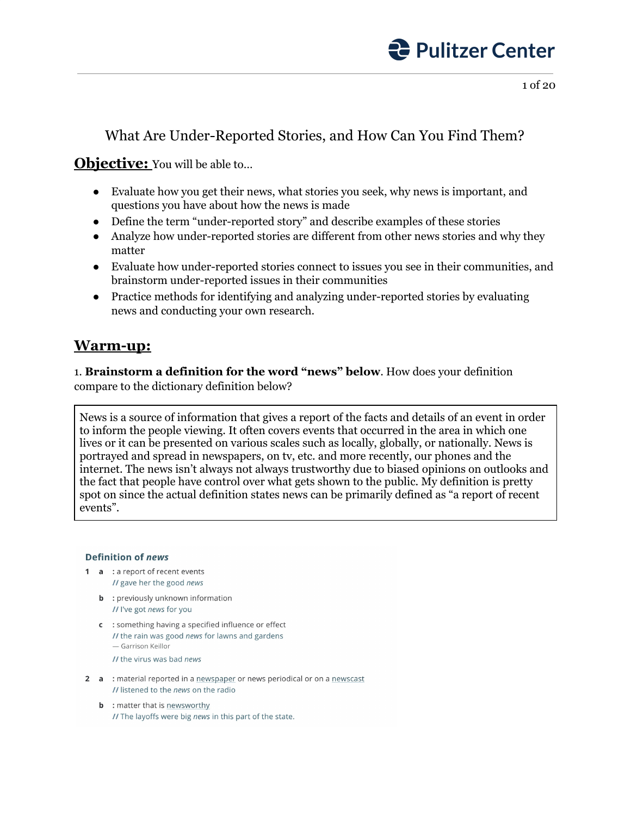

### What Are Under-Reported Stories, and How Can You Find Them?

### **Objective:** You will be able to...

- Evaluate how you get their news, what stories you seek, why news is important, and questions you have about how the news is made
- Define the term "under-reported story" and describe examples of these stories
- Analyze how under-reported stories are different from other news stories and why they matter
- Evaluate how under-reported stories connect to issues you see in their communities, and brainstorm under-reported issues in their communities
- Practice methods for identifying and analyzing under-reported stories by evaluating news and conducting your own research.

### **Warm-up:**

1. **Brainstorm a definition for the word "news" below**. How does your definition compare to the dictionary definition below?

News is a source of information that gives a report of the facts and details of an event in order to inform the people viewing. It often covers events that occurred in the area in which one lives or it can be presented on various scales such as locally, globally, or nationally. News is portrayed and spread in newspapers, on tv, etc. and more recently, our phones and the internet. The news isn't always not always trustworthy due to biased opinions on outlooks and the fact that people have control over what gets shown to the public. My definition is pretty spot on since the actual definition states news can be primarily defined as "a report of recent events".

#### **Definition of news**

- 1 a : a report of recent events // gave her the good news
	- **b** : previously unknown information // I've got news for you
	- c : something having a specified influence or effect // the rain was good news for lawns and gardens - Garrison Keillor
		- // the virus was bad news
- 2 a : material reported in a newspaper or news periodical or on a newscast II listened to the news on the radio
	- **b** : matter that is newsworthy // The layoffs were big news in this part of the state.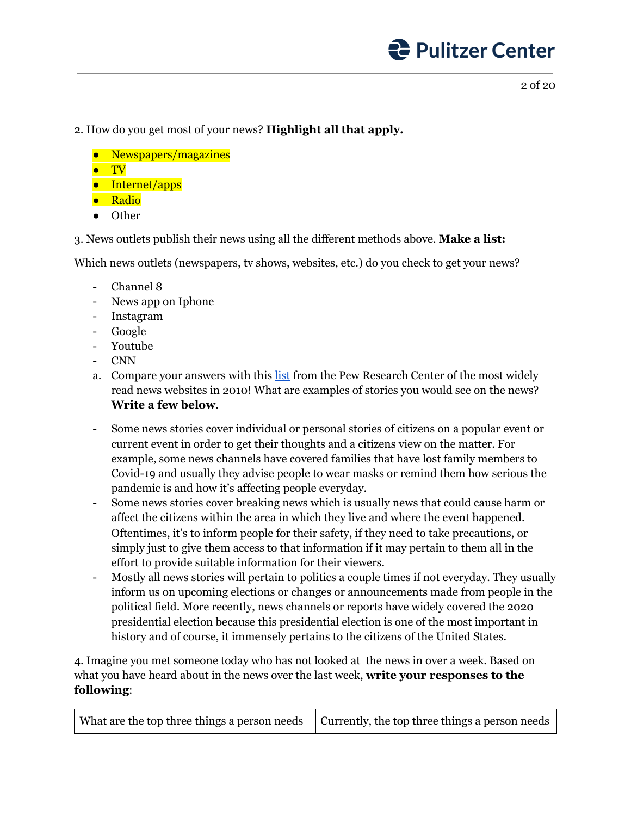

#### 2. How do you get most of your news? **Highlight all that apply.**

- Newspapers/magazines
- TV
- Internet/apps
- Radio
- Other

3. News outlets publish their news using all the different methods above. **Make a list:**

Which news outlets (newspapers, tv shows, websites, etc.) do you check to get your news?

- Channel 8
- News app on Iphone
- Instagram
- Google
- Youtube
- CNN
- a. Compare your answers with this [list](https://www.journalism.org/2011/05/09/top-25/) from the Pew Research Center of the most widely read news websites in 2010! What are examples of stories you would see on the news? **Write a few below**.
- Some news stories cover individual or personal stories of citizens on a popular event or current event in order to get their thoughts and a citizens view on the matter. For example, some news channels have covered families that have lost family members to Covid-19 and usually they advise people to wear masks or remind them how serious the pandemic is and how it's affecting people everyday.
- Some news stories cover breaking news which is usually news that could cause harm or affect the citizens within the area in which they live and where the event happened. Oftentimes, it's to inform people for their safety, if they need to take precautions, or simply just to give them access to that information if it may pertain to them all in the effort to provide suitable information for their viewers.
- Mostly all news stories will pertain to politics a couple times if not everyday. They usually inform us on upcoming elections or changes or announcements made from people in the political field. More recently, news channels or reports have widely covered the 2020 presidential election because this presidential election is one of the most important in history and of course, it immensely pertains to the citizens of the United States.

4. Imagine you met someone today who has not looked at the news in over a week. Based on what you have heard about in the news over the last week, **write your responses to the following**: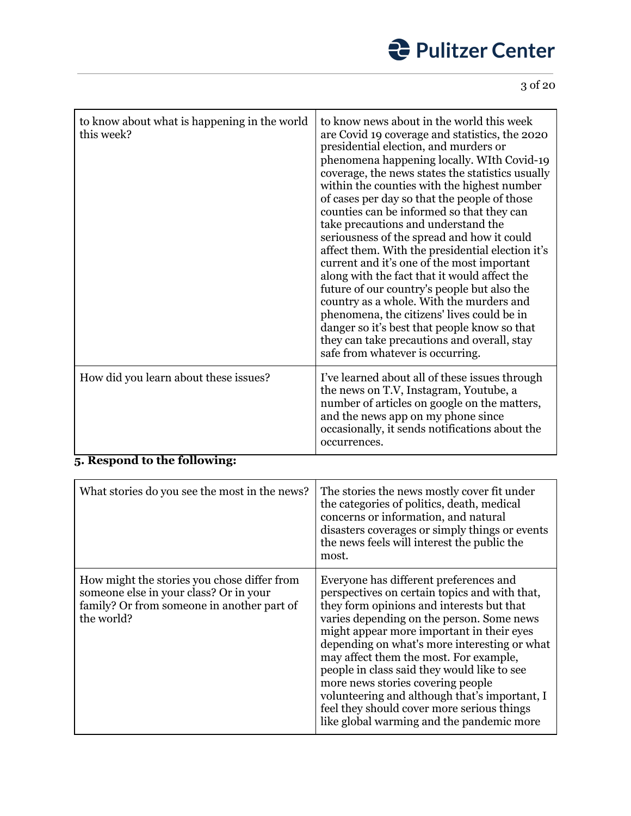# *<u>Pulitzer Center</u>*

3 of 20

| to know about what is happening in the world<br>this week?          | to know news about in the world this week<br>are Covid 19 coverage and statistics, the 2020<br>presidential election, and murders or<br>phenomena happening locally. WIth Covid-19<br>coverage, the news states the statistics usually<br>within the counties with the highest number<br>of cases per day so that the people of those<br>counties can be informed so that they can<br>take precautions and understand the<br>seriousness of the spread and how it could<br>affect them. With the presidential election it's<br>current and it's one of the most important<br>along with the fact that it would affect the<br>future of our country's people but also the<br>country as a whole. With the murders and<br>phenomena, the citizens' lives could be in<br>danger so it's best that people know so that<br>they can take precautions and overall, stay<br>safe from whatever is occurring. |
|---------------------------------------------------------------------|-------------------------------------------------------------------------------------------------------------------------------------------------------------------------------------------------------------------------------------------------------------------------------------------------------------------------------------------------------------------------------------------------------------------------------------------------------------------------------------------------------------------------------------------------------------------------------------------------------------------------------------------------------------------------------------------------------------------------------------------------------------------------------------------------------------------------------------------------------------------------------------------------------|
| How did you learn about these issues?<br>1 1. . <i>.</i> . 11<br>n. | I've learned about all of these issues through<br>the news on T.V, Instagram, Youtube, a<br>number of articles on google on the matters,<br>and the news app on my phone since<br>occasionally, it sends notifications about the<br>occurrences.                                                                                                                                                                                                                                                                                                                                                                                                                                                                                                                                                                                                                                                      |

### **5. Respond to the following:**

| What stories do you see the most in the news?                                                                                                     | The stories the news mostly cover fit under<br>the categories of politics, death, medical<br>concerns or information, and natural<br>disasters coverages or simply things or events<br>the news feels will interest the public the<br>most.                                                                                                                                                                                                                                                                                                              |
|---------------------------------------------------------------------------------------------------------------------------------------------------|----------------------------------------------------------------------------------------------------------------------------------------------------------------------------------------------------------------------------------------------------------------------------------------------------------------------------------------------------------------------------------------------------------------------------------------------------------------------------------------------------------------------------------------------------------|
| How might the stories you chose differ from<br>someone else in your class? Or in your<br>family? Or from someone in another part of<br>the world? | Everyone has different preferences and<br>perspectives on certain topics and with that,<br>they form opinions and interests but that<br>varies depending on the person. Some news<br>might appear more important in their eyes<br>depending on what's more interesting or what<br>may affect them the most. For example,<br>people in class said they would like to see<br>more news stories covering people<br>volunteering and although that's important, I<br>feel they should cover more serious things<br>like global warming and the pandemic more |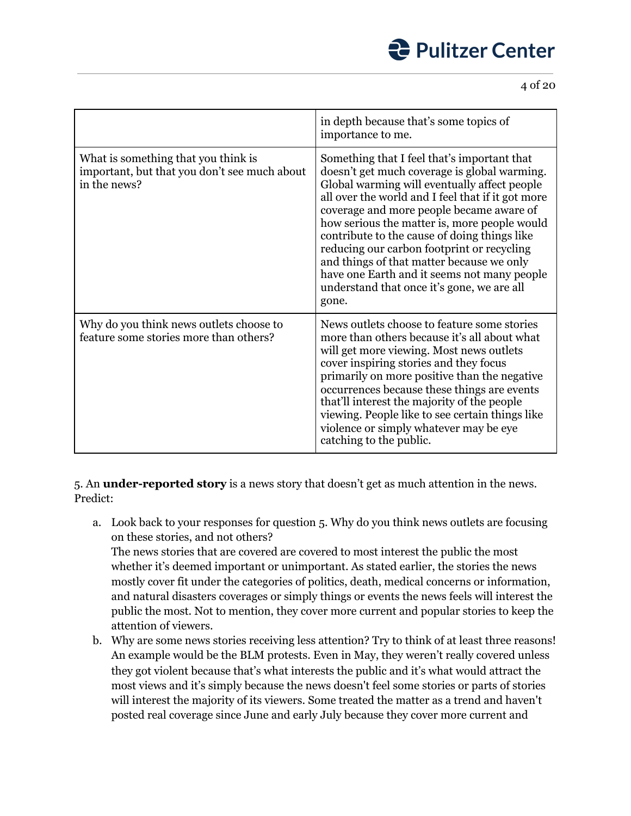4 of 20

|                                                                                                     | in depth because that's some topics of<br>importance to me.                                                                                                                                                                                                                                                                                                                                                                                                                                                                                   |
|-----------------------------------------------------------------------------------------------------|-----------------------------------------------------------------------------------------------------------------------------------------------------------------------------------------------------------------------------------------------------------------------------------------------------------------------------------------------------------------------------------------------------------------------------------------------------------------------------------------------------------------------------------------------|
| What is something that you think is<br>important, but that you don't see much about<br>in the news? | Something that I feel that's important that<br>doesn't get much coverage is global warming.<br>Global warming will eventually affect people<br>all over the world and I feel that if it got more<br>coverage and more people became aware of<br>how serious the matter is, more people would<br>contribute to the cause of doing things like<br>reducing our carbon footprint or recycling<br>and things of that matter because we only<br>have one Earth and it seems not many people<br>understand that once it's gone, we are all<br>gone. |
| Why do you think news outlets choose to<br>feature some stories more than others?                   | News outlets choose to feature some stories<br>more than others because it's all about what<br>will get more viewing. Most news outlets<br>cover inspiring stories and they focus<br>primarily on more positive than the negative<br>occurrences because these things are events<br>that'll interest the majority of the people<br>viewing. People like to see certain things like<br>violence or simply whatever may be eye<br>catching to the public.                                                                                       |

5. An **under-reported story** is a news story that doesn't get as much attention in the news. Predict:

a. Look back to your responses for question 5. Why do you think news outlets are focusing on these stories, and not others?

The news stories that are covered are covered to most interest the public the most whether it's deemed important or unimportant. As stated earlier, the stories the news mostly cover fit under the categories of politics, death, medical concerns or information, and natural disasters coverages or simply things or events the news feels will interest the public the most. Not to mention, they cover more current and popular stories to keep the attention of viewers.

b. Why are some news stories receiving less attention? Try to think of at least three reasons! An example would be the BLM protests. Even in May, they weren't really covered unless they got violent because that's what interests the public and it's what would attract the most views and it's simply because the news doesn't feel some stories or parts of stories will interest the majority of its viewers. Some treated the matter as a trend and haven't posted real coverage since June and early July because they cover more current and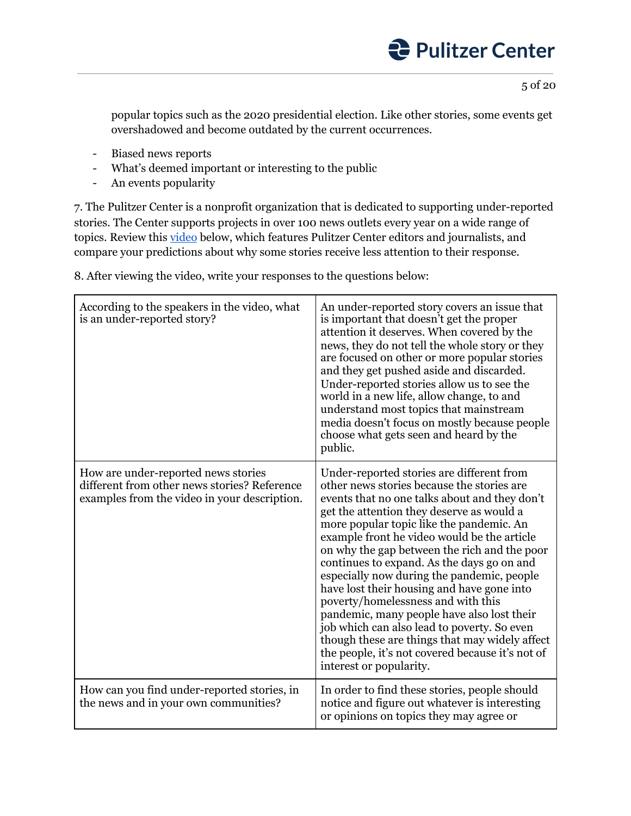5 of 20

popular topics such as the 2020 presidential election. Like other stories, some events get overshadowed and become outdated by the current occurrences.

- Biased news reports
- What's deemed important or interesting to the public
- An events popularity

7. The Pulitzer Center is a nonprofit organization that is dedicated to supporting under-reported stories. The Center supports projects in over 100 news outlets every year on a wide range of topics. Review this *[video](https://youtu.be/jQ6czV4e7pc)* below, which features Pulitzer Center editors and journalists, and compare your predictions about why some stories receive less attention to their response.

8. After viewing the video, write your responses to the questions below:

| According to the speakers in the video, what<br>is an under-reported story?                                                         | An under-reported story covers an issue that<br>is important that doesn't get the proper<br>attention it deserves. When covered by the<br>news, they do not tell the whole story or they<br>are focused on other or more popular stories<br>and they get pushed aside and discarded.<br>Under-reported stories allow us to see the<br>world in a new life, allow change, to and<br>understand most topics that mainstream<br>media doesn't focus on mostly because people<br>choose what gets seen and heard by the<br>public.                                                                                                                                                                                                                 |
|-------------------------------------------------------------------------------------------------------------------------------------|------------------------------------------------------------------------------------------------------------------------------------------------------------------------------------------------------------------------------------------------------------------------------------------------------------------------------------------------------------------------------------------------------------------------------------------------------------------------------------------------------------------------------------------------------------------------------------------------------------------------------------------------------------------------------------------------------------------------------------------------|
| How are under-reported news stories<br>different from other news stories? Reference<br>examples from the video in your description. | Under-reported stories are different from<br>other news stories because the stories are<br>events that no one talks about and they don't<br>get the attention they deserve as would a<br>more popular topic like the pandemic. An<br>example front he video would be the article<br>on why the gap between the rich and the poor<br>continues to expand. As the days go on and<br>especially now during the pandemic, people<br>have lost their housing and have gone into<br>poverty/homelessness and with this<br>pandemic, many people have also lost their<br>job which can also lead to poverty. So even<br>though these are things that may widely affect<br>the people, it's not covered because it's not of<br>interest or popularity. |
| How can you find under-reported stories, in<br>the news and in your own communities?                                                | In order to find these stories, people should<br>notice and figure out whatever is interesting<br>or opinions on topics they may agree or                                                                                                                                                                                                                                                                                                                                                                                                                                                                                                                                                                                                      |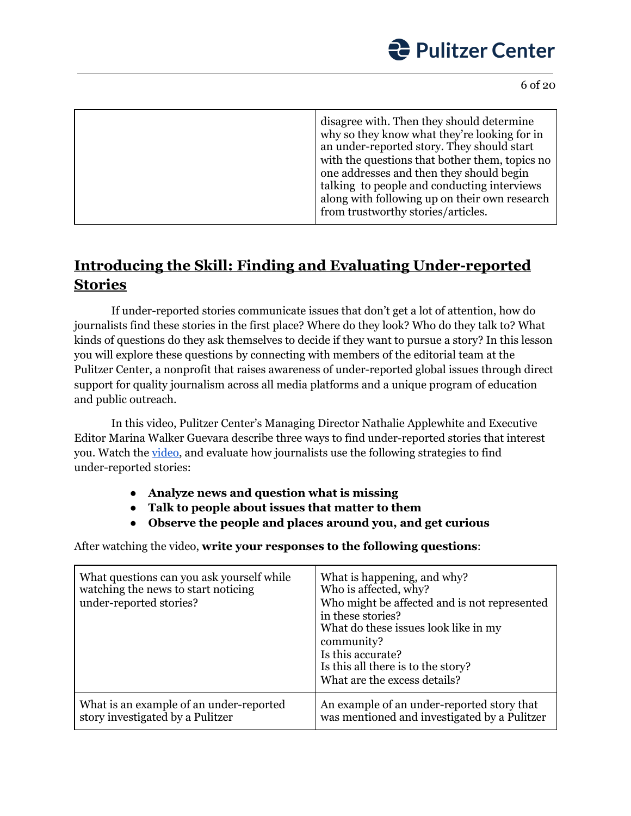

| disagree with. Then they should determine<br>why so they know what they're looking for in<br>an under-reported story. They should start<br>with the questions that bother them, topics no<br>one addresses and then they should begin<br>talking to people and conducting interviews<br>along with following up on their own research<br>from trustworthy stories/articles. |
|-----------------------------------------------------------------------------------------------------------------------------------------------------------------------------------------------------------------------------------------------------------------------------------------------------------------------------------------------------------------------------|
|                                                                                                                                                                                                                                                                                                                                                                             |

### **Introducing the Skill: Finding and Evaluating Under-reported Stories**

If under-reported stories communicate issues that don't get a lot of attention, how do journalists find these stories in the first place? Where do they look? Who do they talk to? What kinds of questions do they ask themselves to decide if they want to pursue a story? In this lesson you will explore these questions by connecting with members of the editorial team at the Pulitzer Center, a nonprofit that raises awareness of under-reported global issues through direct support for quality journalism across all media platforms and a unique program of education and public outreach.

In this video, Pulitzer Center's Managing Director Nathalie Applewhite and Executive Editor Marina Walker Guevara describe three ways to find under-reported stories that interest you. Watch the [video,](https://youtu.be/5Fez7XtjFOQ) and evaluate how journalists use the following strategies to find under-reported stories:

- **● Analyze news and question what is missing**
- **● Talk to people about issues that matter to them**
- **● Observe the people and places around you, and get curious**

After watching the video, **write your responses to the following questions**:

| What questions can you ask yourself while<br>watching the news to start noticing<br>under-reported stories? | What is happening, and why?<br>Who is affected, why?<br>Who might be affected and is not represented<br>in these stories?<br>What do these issues look like in my<br>community?<br>Is this accurate?<br>Is this all there is to the story?<br>What are the excess details? |
|-------------------------------------------------------------------------------------------------------------|----------------------------------------------------------------------------------------------------------------------------------------------------------------------------------------------------------------------------------------------------------------------------|
| What is an example of an under-reported                                                                     | An example of an under-reported story that                                                                                                                                                                                                                                 |
| story investigated by a Pulitzer                                                                            | was mentioned and investigated by a Pulitzer                                                                                                                                                                                                                               |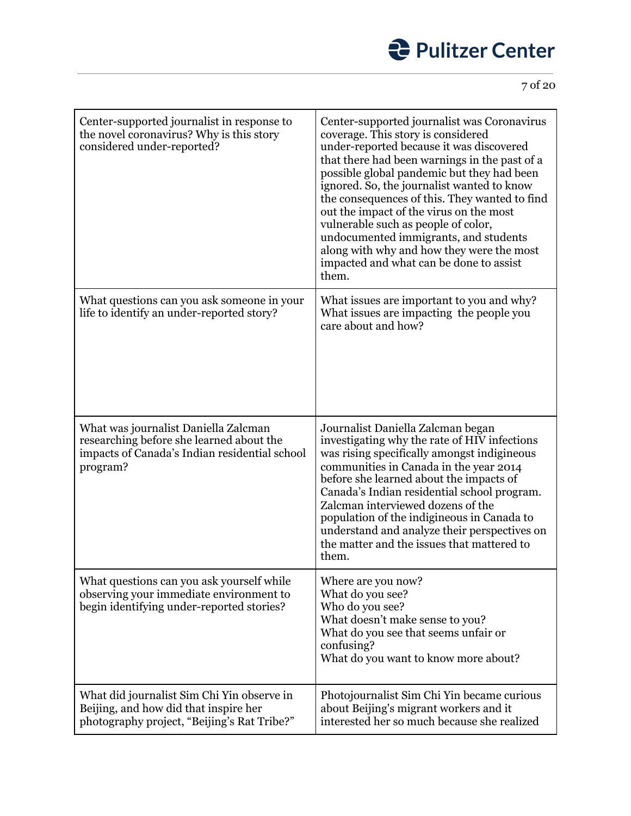

| Center-supported journalist in response to<br>the novel coronavirus? Why is this story<br>considered under-reported?                          | Center-supported journalist was Coronavirus<br>coverage. This story is considered<br>under-reported because it was discovered<br>that there had been warnings in the past of a<br>possible global pandemic but they had been<br>ignored. So, the journalist wanted to know<br>the consequences of this. They wanted to find<br>out the impact of the virus on the most<br>vulnerable such as people of color,<br>undocumented immigrants, and students<br>along with why and how they were the most<br>impacted and what can be done to assist<br>them. |
|-----------------------------------------------------------------------------------------------------------------------------------------------|---------------------------------------------------------------------------------------------------------------------------------------------------------------------------------------------------------------------------------------------------------------------------------------------------------------------------------------------------------------------------------------------------------------------------------------------------------------------------------------------------------------------------------------------------------|
| What questions can you ask someone in your<br>life to identify an under-reported story?                                                       | What issues are important to you and why?<br>What issues are impacting the people you<br>care about and how?                                                                                                                                                                                                                                                                                                                                                                                                                                            |
| What was journalist Daniella Zalcman<br>researching before she learned about the<br>impacts of Canada's Indian residential school<br>program? | Journalist Daniella Zalcman began<br>investigating why the rate of HIV infections<br>was rising specifically amongst indigineous<br>communities in Canada in the year 2014<br>before she learned about the impacts of<br>Canada's Indian residential school program.<br>Zalcman interviewed dozens of the<br>population of the indigineous in Canada to<br>understand and analyze their perspectives on<br>the matter and the issues that mattered to<br>them.                                                                                          |
| What questions can you ask yourself while<br>observing your immediate environment to<br>begin identifying under-reported stories?             | Where are you now?<br>What do you see?<br>Who do you see?<br>What doesn't make sense to you?<br>What do you see that seems unfair or<br>confusing?<br>What do you want to know more about?                                                                                                                                                                                                                                                                                                                                                              |
| What did journalist Sim Chi Yin observe in<br>Beijing, and how did that inspire her<br>photography project, "Beijing's Rat Tribe?"            | Photojournalist Sim Chi Yin became curious<br>about Beijing's migrant workers and it<br>interested her so much because she realized                                                                                                                                                                                                                                                                                                                                                                                                                     |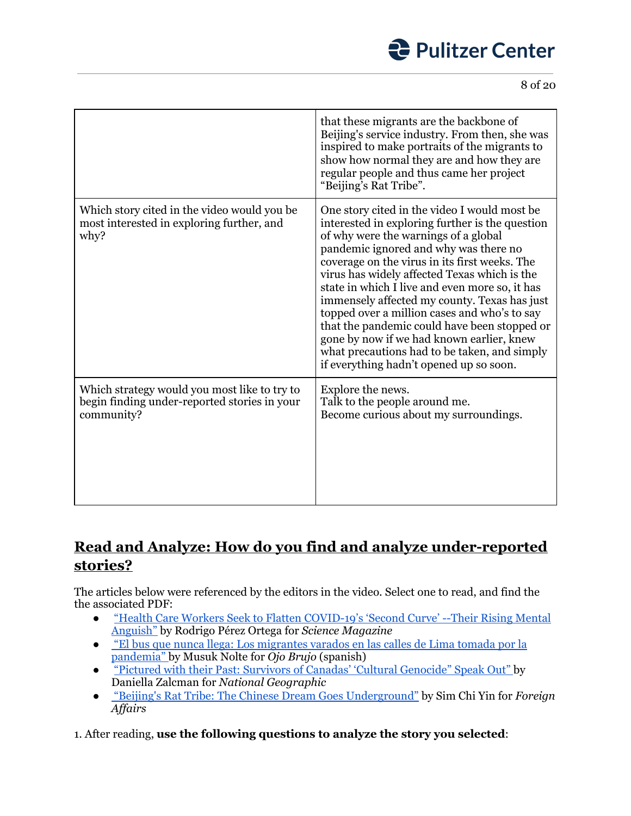8 of 20

|                                                                                                            | that these migrants are the backbone of<br>Beijing's service industry. From then, she was<br>inspired to make portraits of the migrants to<br>show how normal they are and how they are<br>regular people and thus came her project<br>"Beijing's Rat Tribe".                                                                                                                                                                                                                                                                                                                                                               |
|------------------------------------------------------------------------------------------------------------|-----------------------------------------------------------------------------------------------------------------------------------------------------------------------------------------------------------------------------------------------------------------------------------------------------------------------------------------------------------------------------------------------------------------------------------------------------------------------------------------------------------------------------------------------------------------------------------------------------------------------------|
| Which story cited in the video would you be<br>most interested in exploring further, and<br>why?           | One story cited in the video I would most be<br>interested in exploring further is the question<br>of why were the warnings of a global<br>pandemic ignored and why was there no<br>coverage on the virus in its first weeks. The<br>virus has widely affected Texas which is the<br>state in which I live and even more so, it has<br>immensely affected my county. Texas has just<br>topped over a million cases and who's to say<br>that the pandemic could have been stopped or<br>gone by now if we had known earlier, knew<br>what precautions had to be taken, and simply<br>if everything hadn't opened up so soon. |
| Which strategy would you most like to try to<br>begin finding under-reported stories in your<br>community? | Explore the news.<br>Talk to the people around me.<br>Become curious about my surroundings.                                                                                                                                                                                                                                                                                                                                                                                                                                                                                                                                 |

### **Read and Analyze: How do you find and analyze under-reported stories?**

The articles below were referenced by the editors in the video. Select one to read, and find the the associated PDF:

- "Health Care Workers Seek to Flatten [COVID-19's](https://pulitzercenter.org/reporting/health-care-workers-seek-flatten-covid-19s-second-curve-their-rising-mental-anguish) 'Second Curve' --Their Rising Mental [Anguish"](https://pulitzercenter.org/reporting/health-care-workers-seek-flatten-covid-19s-second-curve-their-rising-mental-anguish) by Rodrigo Pérez Ortega for *Science Magazine*
- ["](https://ojo-publico.com/1796/el-bus-que-nunca-llega-los-migrantes-varados-en-lima?fbclid=IwAR28C8isQ6DT6U2hK-j3f0XfPH6-ILo0GBemOTgBzsz3pdf5ovK8KDyn6R4)El bus que nunca llega: Los [migrantes](https://ojo-publico.com/1796/el-bus-que-nunca-llega-los-migrantes-varados-en-lima?fbclid=IwAR28C8isQ6DT6U2hK-j3f0XfPH6-ILo0GBemOTgBzsz3pdf5ovK8KDyn6R4) varados en las calles de Lima tomada por la [pandemia"](https://ojo-publico.com/1796/el-bus-que-nunca-llega-los-migrantes-varados-en-lima?fbclid=IwAR28C8isQ6DT6U2hK-j3f0XfPH6-ILo0GBemOTgBzsz3pdf5ovK8KDyn6R4) by Musuk Nolte for *Ojo Brujo* (spanish)
- "Pictured with their Past: Survivors of Canadas' 'Cultural [Genocide"](https://pulitzercenter.org/reporting/pictured-their-past-survivors-canadas-cultural-genocide-speak-out) Speak Out" by Daniella Zalcman for *National Geographic*
- ["](https://pulitzercenter.org/reporting/beijings-rat-tribe-chinese-dream-goes-underground#slideshow-2)Beijing's Rat Tribe: The Chinese Dream Goes [Underground"](https://pulitzercenter.org/reporting/beijings-rat-tribe-chinese-dream-goes-underground#slideshow-2) by Sim Chi Yin for *Foreign Af airs*

1. After reading, **use the following questions to analyze the story you selected**: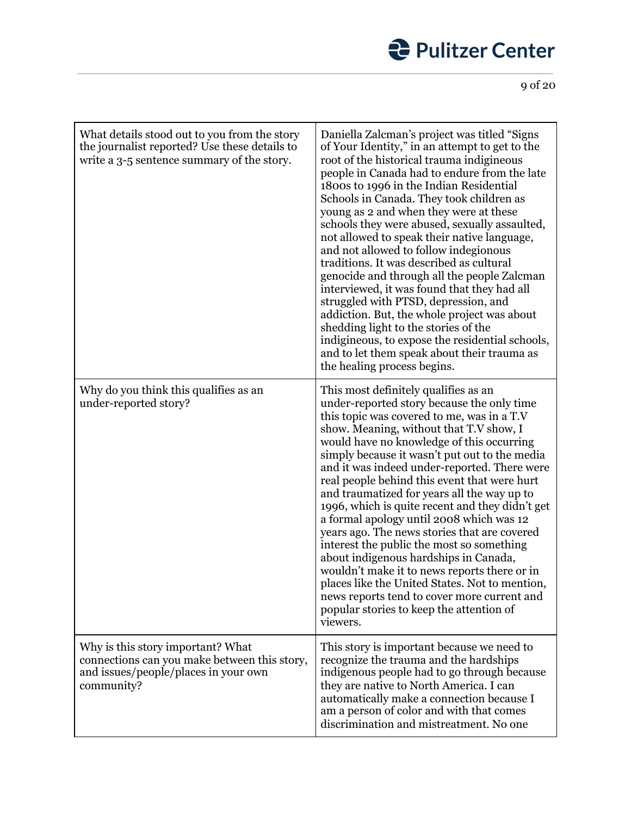## *<u>Pulitzer Center</u>*

9 of 20

| What details stood out to you from the story<br>the journalist reported? Use these details to<br>write a 3-5 sentence summary of the story. | Daniella Zalcman's project was titled "Signs<br>of Your Identity," in an attempt to get to the<br>root of the historical trauma indigineous<br>people in Canada had to endure from the late<br>1800s to 1996 in the Indian Residential<br>Schools in Canada. They took children as<br>young as 2 and when they were at these<br>schools they were abused, sexually assaulted,<br>not allowed to speak their native language,<br>and not allowed to follow indegionous<br>traditions. It was described as cultural<br>genocide and through all the people Zalcman<br>interviewed, it was found that they had all<br>struggled with PTSD, depression, and<br>addiction. But, the whole project was about<br>shedding light to the stories of the<br>indigineous, to expose the residential schools,<br>and to let them speak about their trauma as<br>the healing process begins. |
|---------------------------------------------------------------------------------------------------------------------------------------------|---------------------------------------------------------------------------------------------------------------------------------------------------------------------------------------------------------------------------------------------------------------------------------------------------------------------------------------------------------------------------------------------------------------------------------------------------------------------------------------------------------------------------------------------------------------------------------------------------------------------------------------------------------------------------------------------------------------------------------------------------------------------------------------------------------------------------------------------------------------------------------|
| Why do you think this qualifies as an<br>under-reported story?                                                                              | This most definitely qualifies as an<br>under-reported story because the only time<br>this topic was covered to me, was in a T.V<br>show. Meaning, without that T.V show, I<br>would have no knowledge of this occurring<br>simply because it wasn't put out to the media<br>and it was indeed under-reported. There were<br>real people behind this event that were hurt<br>and traumatized for years all the way up to<br>1996, which is quite recent and they didn't get<br>a formal apology until 2008 which was 12<br>years ago. The news stories that are covered<br>interest the public the most so something<br>about indigenous hardships in Canada,<br>wouldn't make it to news reports there or in<br>places like the United States. Not to mention,<br>news reports tend to cover more current and<br>popular stories to keep the attention of<br>viewers.          |
| Why is this story important? What<br>connections can you make between this story,<br>and issues/people/places in your own<br>community?     | This story is important because we need to<br>recognize the trauma and the hardships<br>indigenous people had to go through because<br>they are native to North America. I can<br>automatically make a connection because I<br>am a person of color and with that comes<br>discrimination and mistreatment. No one                                                                                                                                                                                                                                                                                                                                                                                                                                                                                                                                                              |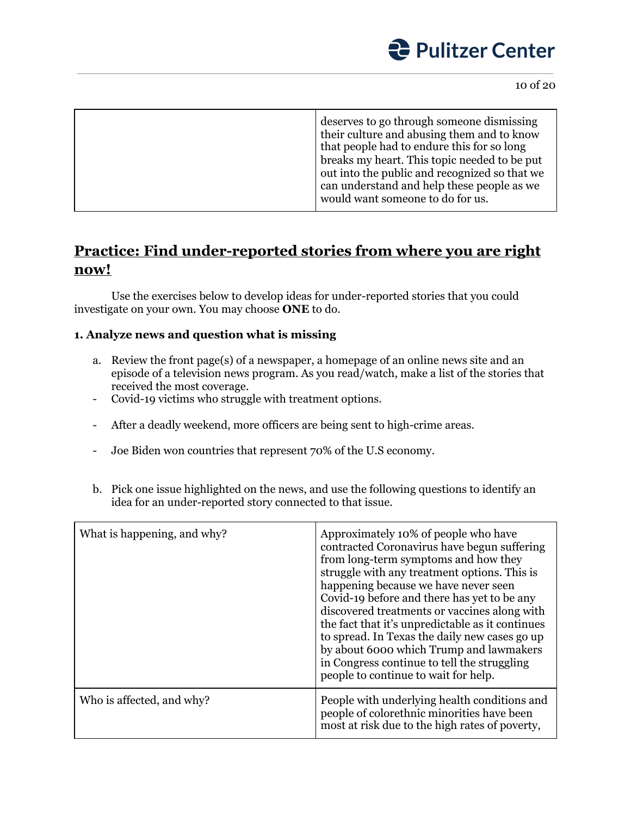

|  | deserves to go through someone dismissing<br>their culture and abusing them and to know<br>that people had to endure this for so long<br>breaks my heart. This topic needed to be put<br>out into the public and recognized so that we<br>can understand and help these people as we<br>would want someone to do for us. |
|--|--------------------------------------------------------------------------------------------------------------------------------------------------------------------------------------------------------------------------------------------------------------------------------------------------------------------------|
|--|--------------------------------------------------------------------------------------------------------------------------------------------------------------------------------------------------------------------------------------------------------------------------------------------------------------------------|

### **Practice: Find under-reported stories from where you are right now!**

Use the exercises below to develop ideas for under-reported stories that you could investigate on your own. You may choose **ONE** to do.

#### **1. Analyze news and question what is missing**

- a. Review the front page(s) of a newspaper, a homepage of an online news site and an episode of a television news program. As you read/watch, make a list of the stories that received the most coverage.
- Covid-19 victims who struggle with treatment options.
- After a deadly weekend, more officers are being sent to high-crime areas.
- Joe Biden won countries that represent 70% of the U.S economy.
- b. Pick one issue highlighted on the news, and use the following questions to identify an idea for an under-reported story connected to that issue.

| What is happening, and why? | Approximately 10% of people who have<br>contracted Coronavirus have begun suffering<br>from long-term symptoms and how they<br>struggle with any treatment options. This is<br>happening because we have never seen<br>Covid-19 before and there has yet to be any<br>discovered treatments or vaccines along with<br>the fact that it's unpredictable as it continues<br>to spread. In Texas the daily new cases go up<br>by about 6000 which Trump and lawmakers<br>in Congress continue to tell the struggling<br>people to continue to wait for help. |
|-----------------------------|-----------------------------------------------------------------------------------------------------------------------------------------------------------------------------------------------------------------------------------------------------------------------------------------------------------------------------------------------------------------------------------------------------------------------------------------------------------------------------------------------------------------------------------------------------------|
| Who is affected, and why?   | People with underlying health conditions and<br>people of colorethnic minorities have been<br>most at risk due to the high rates of poverty,                                                                                                                                                                                                                                                                                                                                                                                                              |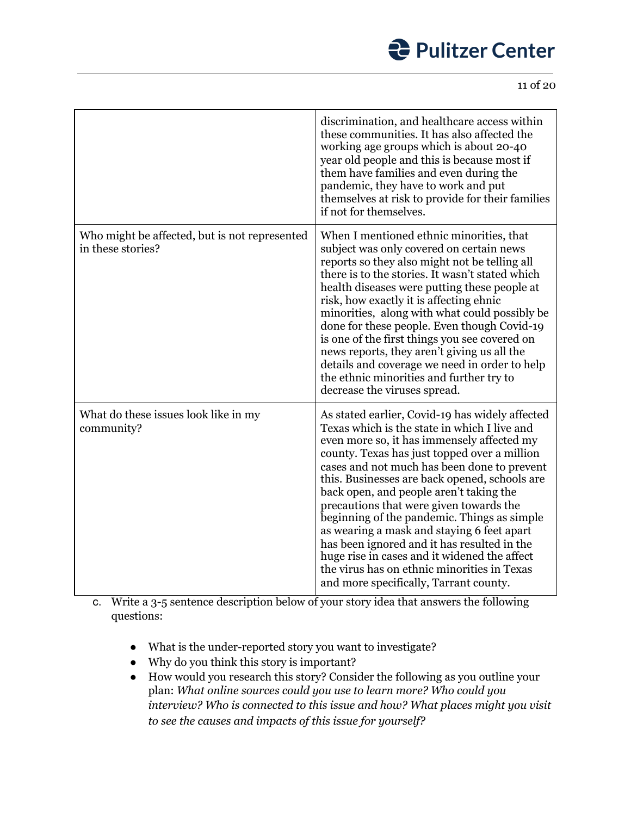11 of 20

|                                                                    | discrimination, and healthcare access within<br>these communities. It has also affected the<br>working age groups which is about 20-40<br>year old people and this is because most if<br>them have families and even during the<br>pandemic, they have to work and put<br>themselves at risk to provide for their families<br>if not for themselves.                                                                                                                                                                                                                                                                                                                     |
|--------------------------------------------------------------------|--------------------------------------------------------------------------------------------------------------------------------------------------------------------------------------------------------------------------------------------------------------------------------------------------------------------------------------------------------------------------------------------------------------------------------------------------------------------------------------------------------------------------------------------------------------------------------------------------------------------------------------------------------------------------|
| Who might be affected, but is not represented<br>in these stories? | When I mentioned ethnic minorities, that<br>subject was only covered on certain news<br>reports so they also might not be telling all<br>there is to the stories. It wasn't stated which<br>health diseases were putting these people at<br>risk, how exactly it is affecting ehnic<br>minorities, along with what could possibly be<br>done for these people. Even though Covid-19<br>is one of the first things you see covered on<br>news reports, they aren't giving us all the<br>details and coverage we need in order to help<br>the ethnic minorities and further try to<br>decrease the viruses spread.                                                         |
| What do these issues look like in my<br>community?                 | As stated earlier, Covid-19 has widely affected<br>Texas which is the state in which I live and<br>even more so, it has immensely affected my<br>county. Texas has just topped over a million<br>cases and not much has been done to prevent<br>this. Businesses are back opened, schools are<br>back open, and people aren't taking the<br>precautions that were given towards the<br>beginning of the pandemic. Things as simple<br>as wearing a mask and staying 6 feet apart<br>has been ignored and it has resulted in the<br>huge rise in cases and it widened the affect<br>the virus has on ethnic minorities in Texas<br>and more specifically, Tarrant county. |

c. Write a 3-5 sentence description below of your story idea that answers the following questions:

- What is the under-reported story you want to investigate?
- Why do you think this story is important?
- How would you research this story? Consider the following as you outline your plan: *What online sources could you use to learn more? Who could you interview? Who is connected to this issue and how? What places might you visit to see the causes and impacts of this issue for yourself?*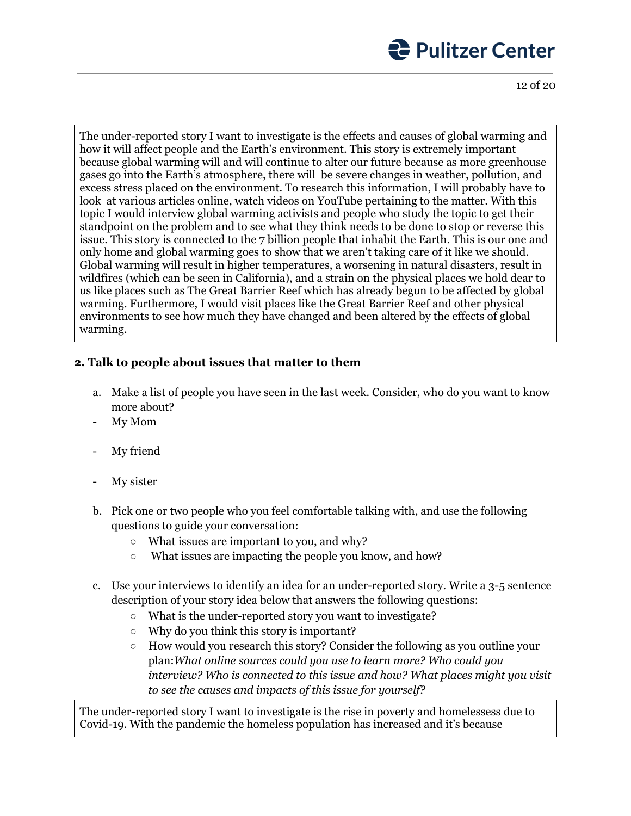12 of 20

The under-reported story I want to investigate is the effects and causes of global warming and how it will affect people and the Earth's environment. This story is extremely important because global warming will and will continue to alter our future because as more greenhouse gases go into the Earth's atmosphere, there will be severe changes in weather, pollution, and excess stress placed on the environment. To research this information, I will probably have to look at various articles online, watch videos on YouTube pertaining to the matter. With this topic I would interview global warming activists and people who study the topic to get their standpoint on the problem and to see what they think needs to be done to stop or reverse this issue. This story is connected to the 7 billion people that inhabit the Earth. This is our one and only home and global warming goes to show that we aren't taking care of it like we should. Global warming will result in higher temperatures, a worsening in natural disasters, result in wildfires (which can be seen in California), and a strain on the physical places we hold dear to us like places such as The Great Barrier Reef which has already begun to be affected by global warming. Furthermore, I would visit places like the Great Barrier Reef and other physical environments to see how much they have changed and been altered by the effects of global warming.

### **2. Talk to people about issues that matter to them**

- a. Make a list of people you have seen in the last week. Consider, who do you want to know more about?
- My Mom
- My friend
- My sister
- b. Pick one or two people who you feel comfortable talking with, and use the following questions to guide your conversation:
	- What issues are important to you, and why?
	- What issues are impacting the people you know, and how?
- c. Use your interviews to identify an idea for an under-reported story. Write a 3-5 sentence description of your story idea below that answers the following questions:
	- What is the under-reported story you want to investigate?
	- Why do you think this story is important?
	- How would you research this story? Consider the following as you outline your plan:*What online sources could you use to learn more? Who could you interview? Who is connected to this issue and how? What places might you visit to see the causes and impacts of this issue for yourself?*

The under-reported story I want to investigate is the rise in poverty and homelessess due to Covid-19. With the pandemic the homeless population has increased and it's because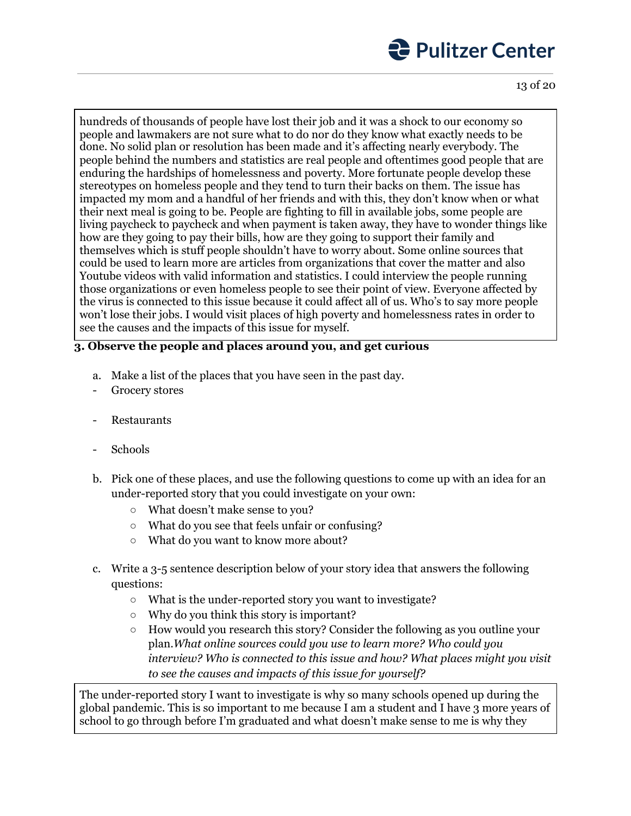13 of 20

hundreds of thousands of people have lost their job and it was a shock to our economy so people and lawmakers are not sure what to do nor do they know what exactly needs to be done. No solid plan or resolution has been made and it's affecting nearly everybody. The people behind the numbers and statistics are real people and oftentimes good people that are enduring the hardships of homelessness and poverty. More fortunate people develop these stereotypes on homeless people and they tend to turn their backs on them. The issue has impacted my mom and a handful of her friends and with this, they don't know when or what their next meal is going to be. People are fighting to fill in available jobs, some people are living paycheck to paycheck and when payment is taken away, they have to wonder things like how are they going to pay their bills, how are they going to support their family and themselves which is stuff people shouldn't have to worry about. Some online sources that could be used to learn more are articles from organizations that cover the matter and also Youtube videos with valid information and statistics. I could interview the people running those organizations or even homeless people to see their point of view. Everyone affected by the virus is connected to this issue because it could affect all of us. Who's to say more people won't lose their jobs. I would visit places of high poverty and homelessness rates in order to see the causes and the impacts of this issue for myself.

### **3. Observe the people and places around you, and get curious**

- a. Make a list of the places that you have seen in the past day.
- Grocery stores
- **Restaurants**
- Schools
- b. Pick one of these places, and use the following questions to come up with an idea for an under-reported story that you could investigate on your own:
	- What doesn't make sense to you?
	- What do you see that feels unfair or confusing?
	- What do you want to know more about?
- c. Write a 3-5 sentence description below of your story idea that answers the following questions:
	- What is the under-reported story you want to investigate?
	- Why do you think this story is important?
	- How would you research this story? Consider the following as you outline your plan.*What online sources could you use to learn more? Who could you interview? Who is connected to this issue and how? What places might you visit to see the causes and impacts of this issue for yourself?*

The under-reported story I want to investigate is why so many schools opened up during the global pandemic. This is so important to me because I am a student and I have 3 more years of school to go through before I'm graduated and what doesn't make sense to me is why they